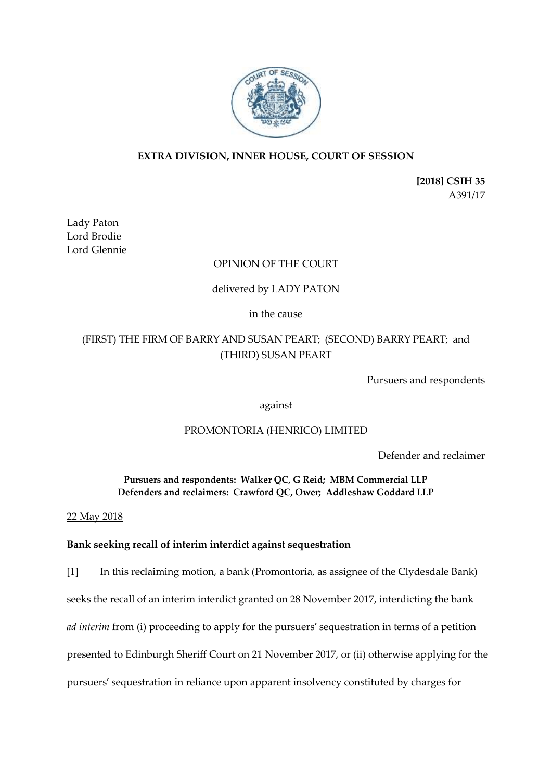

# **EXTRA DIVISION, INNER HOUSE, COURT OF SESSION**

**[2018] CSIH 35** A391/17

Lady Paton Lord Brodie Lord Glennie

# OPINION OF THE COURT

# delivered by LADY PATON

## in the cause

# (FIRST) THE FIRM OF BARRY AND SUSAN PEART; (SECOND) BARRY PEART; and (THIRD) SUSAN PEART

Pursuers and respondents

against

# PROMONTORIA (HENRICO) LIMITED

Defender and reclaimer

**Pursuers and respondents: Walker QC, G Reid; MBM Commercial LLP Defenders and reclaimers: Crawford QC, Ower; Addleshaw Goddard LLP**

22 May 2018

# **Bank seeking recall of interim interdict against sequestration**

[1] In this reclaiming motion, a bank (Promontoria, as assignee of the Clydesdale Bank) seeks the recall of an interim interdict granted on 28 November 2017, interdicting the bank *ad interim* from (i) proceeding to apply for the pursuers' sequestration in terms of a petition presented to Edinburgh Sheriff Court on 21 November 2017, or (ii) otherwise applying for the pursuers' sequestration in reliance upon apparent insolvency constituted by charges for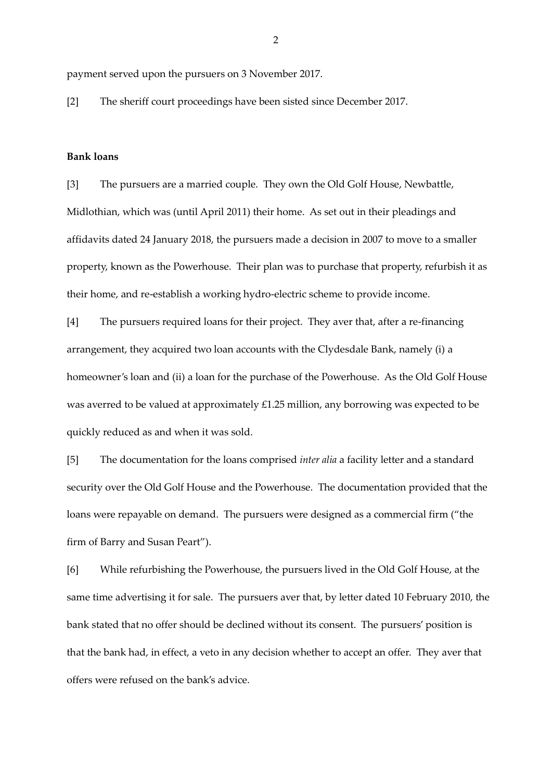payment served upon the pursuers on 3 November 2017.

[2] The sheriff court proceedings have been sisted since December 2017.

#### **Bank loans**

[3] The pursuers are a married couple. They own the Old Golf House, Newbattle, Midlothian, which was (until April 2011) their home. As set out in their pleadings and affidavits dated 24 January 2018, the pursuers made a decision in 2007 to move to a smaller property, known as the Powerhouse. Their plan was to purchase that property, refurbish it as their home, and re-establish a working hydro-electric scheme to provide income.

[4] The pursuers required loans for their project. They aver that, after a re-financing arrangement, they acquired two loan accounts with the Clydesdale Bank, namely (i) a homeowner's loan and (ii) a loan for the purchase of the Powerhouse. As the Old Golf House was averred to be valued at approximately £1.25 million, any borrowing was expected to be quickly reduced as and when it was sold.

[5] The documentation for the loans comprised *inter alia* a facility letter and a standard security over the Old Golf House and the Powerhouse. The documentation provided that the loans were repayable on demand. The pursuers were designed as a commercial firm ("the firm of Barry and Susan Peart").

[6] While refurbishing the Powerhouse, the pursuers lived in the Old Golf House, at the same time advertising it for sale. The pursuers aver that, by letter dated 10 February 2010, the bank stated that no offer should be declined without its consent. The pursuers' position is that the bank had, in effect, a veto in any decision whether to accept an offer. They aver that offers were refused on the bank's advice.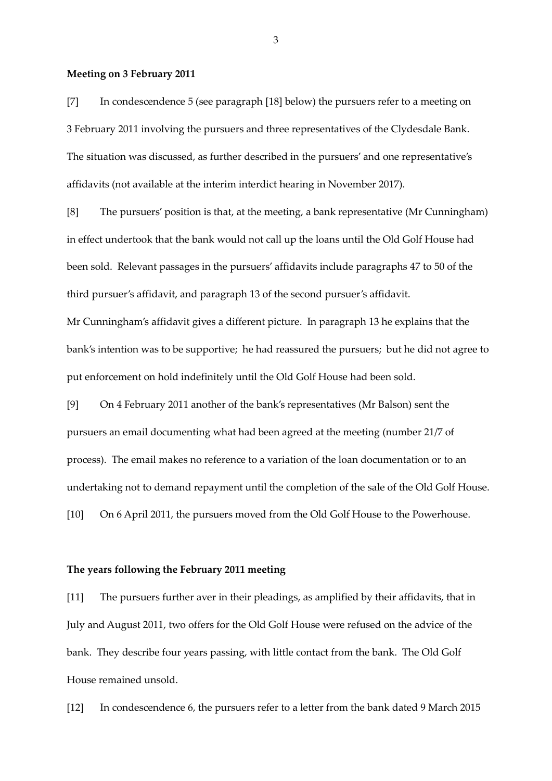#### **Meeting on 3 February 2011**

[7] In condescendence 5 (see paragraph [18] below) the pursuers refer to a meeting on 3 February 2011 involving the pursuers and three representatives of the Clydesdale Bank. The situation was discussed, as further described in the pursuers' and one representative's affidavits (not available at the interim interdict hearing in November 2017).

[8] The pursuers' position is that, at the meeting, a bank representative (Mr Cunningham) in effect undertook that the bank would not call up the loans until the Old Golf House had been sold. Relevant passages in the pursuers' affidavits include paragraphs 47 to 50 of the third pursuer's affidavit, and paragraph 13 of the second pursuer's affidavit. Mr Cunningham's affidavit gives a different picture. In paragraph 13 he explains that the

bank's intention was to be supportive; he had reassured the pursuers; but he did not agree to

put enforcement on hold indefinitely until the Old Golf House had been sold.

[9] On 4 February 2011 another of the bank's representatives (Mr Balson) sent the pursuers an email documenting what had been agreed at the meeting (number 21/7 of process). The email makes no reference to a variation of the loan documentation or to an undertaking not to demand repayment until the completion of the sale of the Old Golf House. [10] On 6 April 2011, the pursuers moved from the Old Golf House to the Powerhouse.

#### **The years following the February 2011 meeting**

[11] The pursuers further aver in their pleadings, as amplified by their affidavits, that in July and August 2011, two offers for the Old Golf House were refused on the advice of the bank. They describe four years passing, with little contact from the bank. The Old Golf House remained unsold.

[12] In condescendence 6, the pursuers refer to a letter from the bank dated 9 March 2015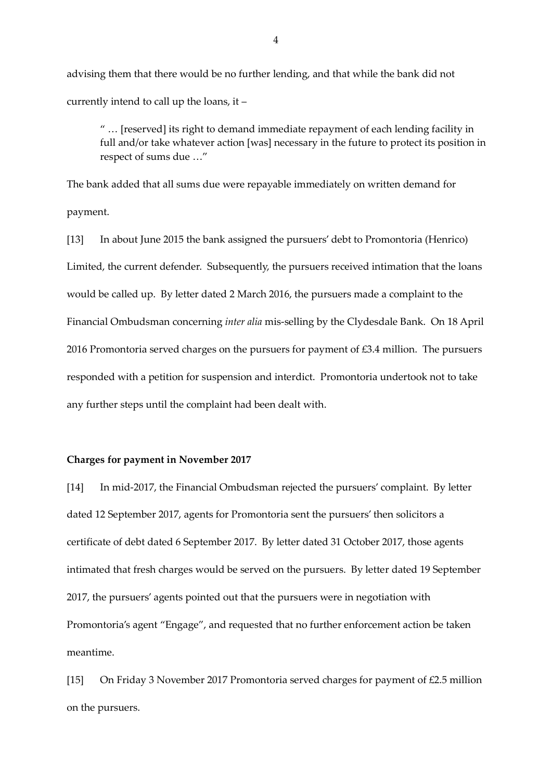advising them that there would be no further lending, and that while the bank did not currently intend to call up the loans, it –

" … [reserved] its right to demand immediate repayment of each lending facility in full and/or take whatever action [was] necessary in the future to protect its position in respect of sums due …"

The bank added that all sums due were repayable immediately on written demand for payment.

[13] In about June 2015 the bank assigned the pursuers' debt to Promontoria (Henrico) Limited, the current defender. Subsequently, the pursuers received intimation that the loans would be called up. By letter dated 2 March 2016, the pursuers made a complaint to the Financial Ombudsman concerning *inter alia* mis-selling by the Clydesdale Bank. On 18 April 2016 Promontoria served charges on the pursuers for payment of £3.4 million. The pursuers responded with a petition for suspension and interdict. Promontoria undertook not to take any further steps until the complaint had been dealt with.

#### **Charges for payment in November 2017**

[14] In mid-2017, the Financial Ombudsman rejected the pursuers' complaint. By letter dated 12 September 2017, agents for Promontoria sent the pursuers' then solicitors a certificate of debt dated 6 September 2017. By letter dated 31 October 2017, those agents intimated that fresh charges would be served on the pursuers. By letter dated 19 September 2017, the pursuers' agents pointed out that the pursuers were in negotiation with Promontoria's agent "Engage", and requested that no further enforcement action be taken meantime.

[15] On Friday 3 November 2017 Promontoria served charges for payment of £2.5 million on the pursuers.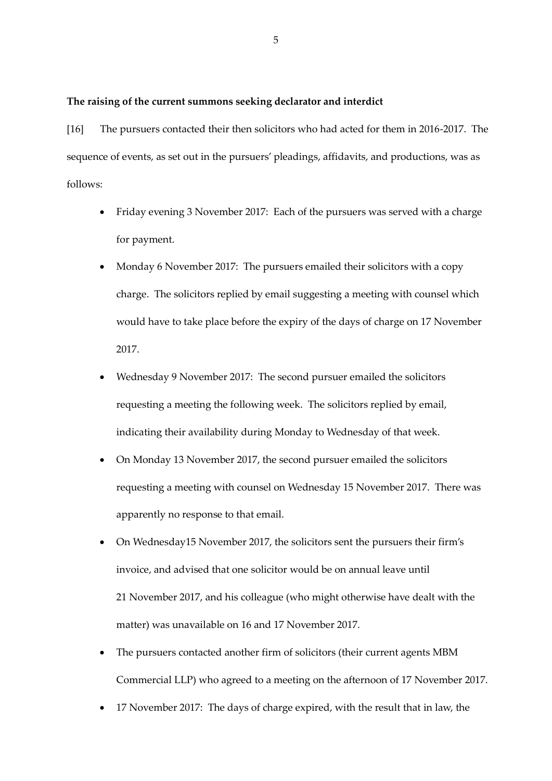#### **The raising of the current summons seeking declarator and interdict**

[16] The pursuers contacted their then solicitors who had acted for them in 2016-2017. The sequence of events, as set out in the pursuers' pleadings, affidavits, and productions, was as follows:

- Friday evening 3 November 2017: Each of the pursuers was served with a charge for payment.
- Monday 6 November 2017: The pursuers emailed their solicitors with a copy charge. The solicitors replied by email suggesting a meeting with counsel which would have to take place before the expiry of the days of charge on 17 November 2017.
- Wednesday 9 November 2017: The second pursuer emailed the solicitors requesting a meeting the following week. The solicitors replied by email, indicating their availability during Monday to Wednesday of that week.
- On Monday 13 November 2017, the second pursuer emailed the solicitors requesting a meeting with counsel on Wednesday 15 November 2017. There was apparently no response to that email.
- On Wednesday15 November 2017, the solicitors sent the pursuers their firm's invoice, and advised that one solicitor would be on annual leave until 21 November 2017, and his colleague (who might otherwise have dealt with the matter) was unavailable on 16 and 17 November 2017.
- The pursuers contacted another firm of solicitors (their current agents MBM Commercial LLP) who agreed to a meeting on the afternoon of 17 November 2017.
- 17 November 2017: The days of charge expired, with the result that in law, the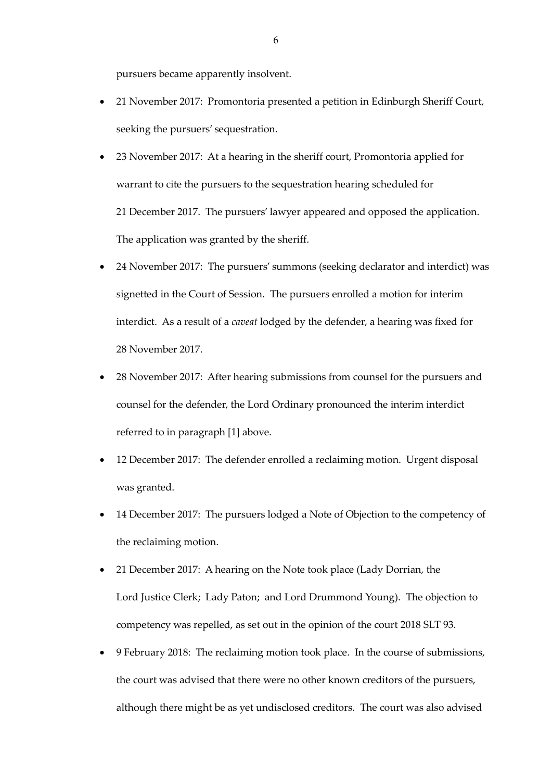pursuers became apparently insolvent.

- 21 November 2017: Promontoria presented a petition in Edinburgh Sheriff Court, seeking the pursuers' sequestration.
- 23 November 2017: At a hearing in the sheriff court, Promontoria applied for warrant to cite the pursuers to the sequestration hearing scheduled for 21 December 2017. The pursuers' lawyer appeared and opposed the application. The application was granted by the sheriff.
- 24 November 2017: The pursuers' summons (seeking declarator and interdict) was signetted in the Court of Session. The pursuers enrolled a motion for interim interdict. As a result of a *caveat* lodged by the defender, a hearing was fixed for 28 November 2017.
- 28 November 2017: After hearing submissions from counsel for the pursuers and counsel for the defender, the Lord Ordinary pronounced the interim interdict referred to in paragraph [1] above.
- 12 December 2017: The defender enrolled a reclaiming motion. Urgent disposal was granted.
- 14 December 2017: The pursuers lodged a Note of Objection to the competency of the reclaiming motion.
- 21 December 2017: A hearing on the Note took place (Lady Dorrian, the Lord Justice Clerk; Lady Paton; and Lord Drummond Young). The objection to competency was repelled, as set out in the opinion of the court 2018 SLT 93.
- 9 February 2018: The reclaiming motion took place. In the course of submissions, the court was advised that there were no other known creditors of the pursuers, although there might be as yet undisclosed creditors. The court was also advised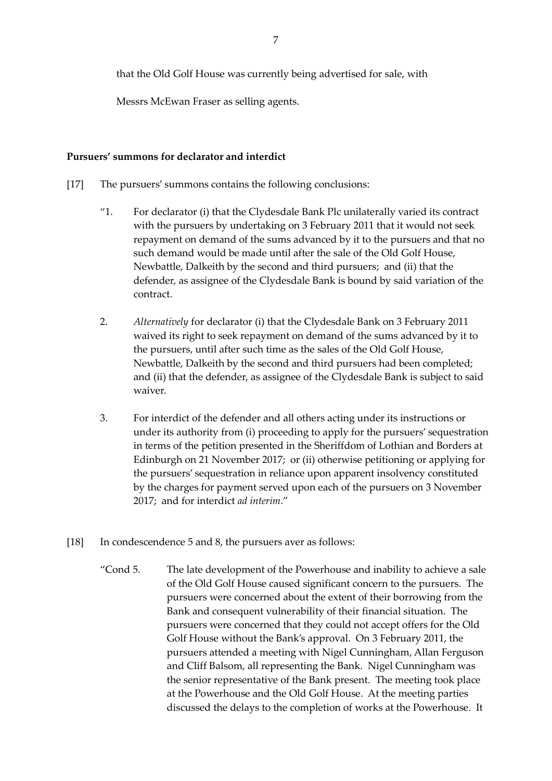that the Old Golf House was currently being advertised for sale, with

Messrs McEwan Fraser as selling agents.

#### **Pursuers' summons for declarator and interdict**

- [17] The pursuers' summons contains the following conclusions:
	- "1. For declarator (i) that the Clydesdale Bank Plc unilaterally varied its contract with the pursuers by undertaking on 3 February 2011 that it would not seek repayment on demand of the sums advanced by it to the pursuers and that no such demand would be made until after the sale of the Old Golf House, Newbattle, Dalkeith by the second and third pursuers; and (ii) that the defender, as assignee of the Clydesdale Bank is bound by said variation of the contract.
	- 2. *Alternatively* for declarator (i) that the Clydesdale Bank on 3 February 2011 waived its right to seek repayment on demand of the sums advanced by it to the pursuers, until after such time as the sales of the Old Golf House, Newbattle, Dalkeith by the second and third pursuers had been completed; and (ii) that the defender, as assignee of the Clydesdale Bank is subject to said waiver.
	- 3. For interdict of the defender and all others acting under its instructions or under its authority from (i) proceeding to apply for the pursuers' sequestration in terms of the petition presented in the Sheriffdom of Lothian and Borders at Edinburgh on 21 November 2017; or (ii) otherwise petitioning or applying for the pursuers' sequestration in reliance upon apparent insolvency constituted by the charges for payment served upon each of the pursuers on 3 November 2017; and for interdict *ad interim*."
- [18] In condescendence 5 and 8, the pursuers aver as follows:
	- "Cond 5. The late development of the Powerhouse and inability to achieve a sale of the Old Golf House caused significant concern to the pursuers. The pursuers were concerned about the extent of their borrowing from the Bank and consequent vulnerability of their financial situation. The pursuers were concerned that they could not accept offers for the Old Golf House without the Bank's approval. On 3 February 2011, the pursuers attended a meeting with Nigel Cunningham, Allan Ferguson and Cliff Balsom, all representing the Bank. Nigel Cunningham was the senior representative of the Bank present. The meeting took place at the Powerhouse and the Old Golf House. At the meeting parties discussed the delays to the completion of works at the Powerhouse. It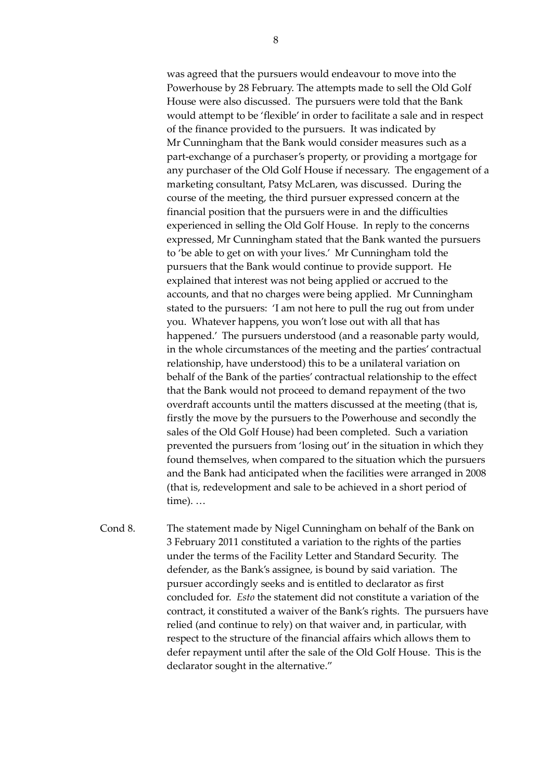was agreed that the pursuers would endeavour to move into the Powerhouse by 28 February. The attempts made to sell the Old Golf House were also discussed. The pursuers were told that the Bank would attempt to be 'flexible' in order to facilitate a sale and in respect of the finance provided to the pursuers. It was indicated by Mr Cunningham that the Bank would consider measures such as a part-exchange of a purchaser's property, or providing a mortgage for any purchaser of the Old Golf House if necessary. The engagement of a marketing consultant, Patsy McLaren, was discussed. During the course of the meeting, the third pursuer expressed concern at the financial position that the pursuers were in and the difficulties experienced in selling the Old Golf House. In reply to the concerns expressed, Mr Cunningham stated that the Bank wanted the pursuers to 'be able to get on with your lives.' Mr Cunningham told the pursuers that the Bank would continue to provide support. He explained that interest was not being applied or accrued to the accounts, and that no charges were being applied. Mr Cunningham stated to the pursuers: 'I am not here to pull the rug out from under you. Whatever happens, you won't lose out with all that has happened.' The pursuers understood (and a reasonable party would, in the whole circumstances of the meeting and the parties' contractual relationship, have understood) this to be a unilateral variation on behalf of the Bank of the parties' contractual relationship to the effect that the Bank would not proceed to demand repayment of the two overdraft accounts until the matters discussed at the meeting (that is, firstly the move by the pursuers to the Powerhouse and secondly the sales of the Old Golf House) had been completed. Such a variation prevented the pursuers from 'losing out' in the situation in which they found themselves, when compared to the situation which the pursuers and the Bank had anticipated when the facilities were arranged in 2008 (that is, redevelopment and sale to be achieved in a short period of time). …

Cond 8. The statement made by Nigel Cunningham on behalf of the Bank on 3 February 2011 constituted a variation to the rights of the parties under the terms of the Facility Letter and Standard Security. The defender, as the Bank's assignee, is bound by said variation. The pursuer accordingly seeks and is entitled to declarator as first concluded for. *Esto* the statement did not constitute a variation of the contract, it constituted a waiver of the Bank's rights. The pursuers have relied (and continue to rely) on that waiver and, in particular, with respect to the structure of the financial affairs which allows them to defer repayment until after the sale of the Old Golf House. This is the declarator sought in the alternative."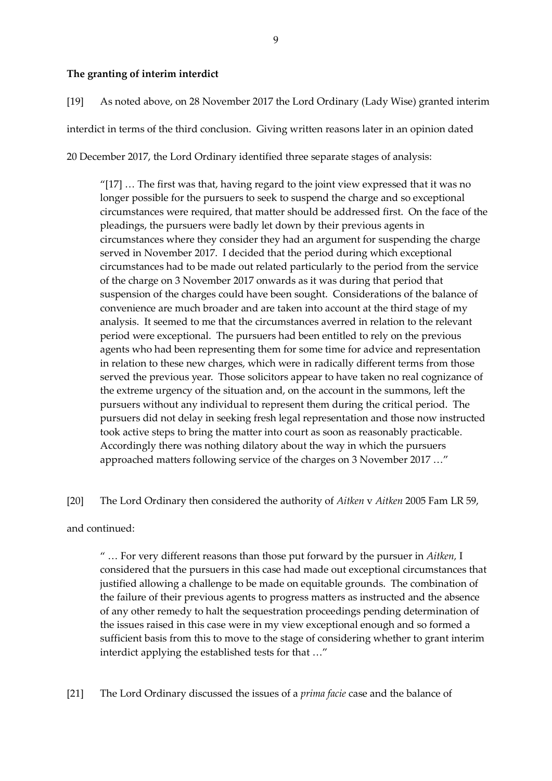## **The granting of interim interdict**

[19] As noted above, on 28 November 2017 the Lord Ordinary (Lady Wise) granted interim interdict in terms of the third conclusion. Giving written reasons later in an opinion dated 20 December 2017, the Lord Ordinary identified three separate stages of analysis:

" $[17]$  ... The first was that, having regard to the joint view expressed that it was no longer possible for the pursuers to seek to suspend the charge and so exceptional circumstances were required, that matter should be addressed first. On the face of the pleadings, the pursuers were badly let down by their previous agents in circumstances where they consider they had an argument for suspending the charge served in November 2017. I decided that the period during which exceptional circumstances had to be made out related particularly to the period from the service of the charge on 3 November 2017 onwards as it was during that period that suspension of the charges could have been sought. Considerations of the balance of convenience are much broader and are taken into account at the third stage of my analysis. It seemed to me that the circumstances averred in relation to the relevant period were exceptional. The pursuers had been entitled to rely on the previous agents who had been representing them for some time for advice and representation in relation to these new charges, which were in radically different terms from those served the previous year. Those solicitors appear to have taken no real cognizance of the extreme urgency of the situation and, on the account in the summons, left the pursuers without any individual to represent them during the critical period. The pursuers did not delay in seeking fresh legal representation and those now instructed took active steps to bring the matter into court as soon as reasonably practicable. Accordingly there was nothing dilatory about the way in which the pursuers approached matters following service of the charges on 3 November 2017 …"

[20] The Lord Ordinary then considered the authority of *Aitken* v *Aitken* 2005 Fam LR 59,

and continued:

" … For very different reasons than those put forward by the pursuer in *Aitken,* I considered that the pursuers in this case had made out exceptional circumstances that justified allowing a challenge to be made on equitable grounds. The combination of the failure of their previous agents to progress matters as instructed and the absence of any other remedy to halt the sequestration proceedings pending determination of the issues raised in this case were in my view exceptional enough and so formed a sufficient basis from this to move to the stage of considering whether to grant interim interdict applying the established tests for that …"

[21] The Lord Ordinary discussed the issues of a *prima facie* case and the balance of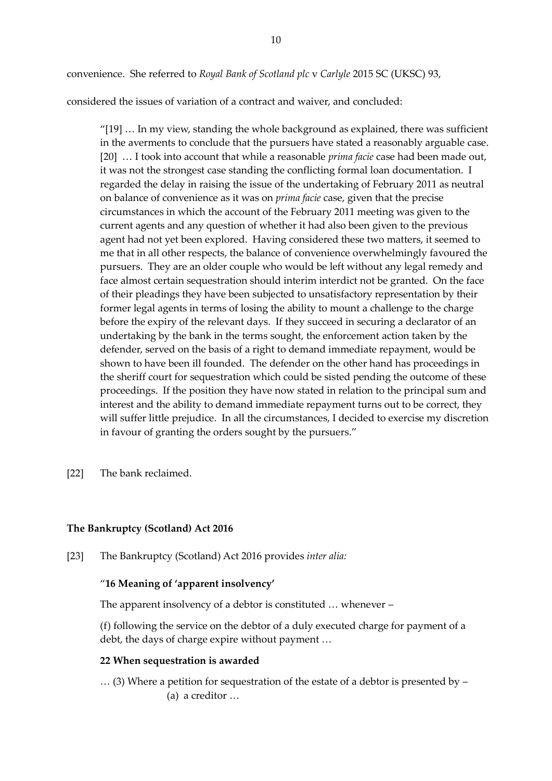convenience. She referred to *Royal Bank of Scotland plc* v *Carlyle* 2015 SC (UKSC) 93,

considered the issues of variation of a contract and waiver, and concluded:

"[19] … In my view, standing the whole background as explained, there was sufficient in the averments to conclude that the pursuers have stated a reasonably arguable case. [20] … I took into account that while a reasonable *prima facie* case had been made out, it was not the strongest case standing the conflicting formal loan documentation. I regarded the delay in raising the issue of the undertaking of February 2011 as neutral on balance of convenience as it was on *prima facie* case, given that the precise circumstances in which the account of the February 2011 meeting was given to the current agents and any question of whether it had also been given to the previous agent had not yet been explored. Having considered these two matters, it seemed to me that in all other respects, the balance of convenience overwhelmingly favoured the pursuers. They are an older couple who would be left without any legal remedy and face almost certain sequestration should interim interdict not be granted. On the face of their pleadings they have been subjected to unsatisfactory representation by their former legal agents in terms of losing the ability to mount a challenge to the charge before the expiry of the relevant days. If they succeed in securing a declarator of an undertaking by the bank in the terms sought, the enforcement action taken by the defender, served on the basis of a right to demand immediate repayment, would be shown to have been ill founded. The defender on the other hand has proceedings in the sheriff court for sequestration which could be sisted pending the outcome of these proceedings. If the position they have now stated in relation to the principal sum and interest and the ability to demand immediate repayment turns out to be correct, they will suffer little prejudice. In all the circumstances, I decided to exercise my discretion in favour of granting the orders sought by the pursuers."

[22] The bank reclaimed.

## **The Bankruptcy (Scotland) Act 2016**

[23] The Bankruptcy (Scotland) Act 2016 provides *inter alia:*

## "**16 Meaning of 'apparent insolvency'**

The apparent insolvency of a debtor is constituted … whenever –

(f) following the service on the debtor of a duly executed charge for payment of a debt, the days of charge expire without payment …

## **22 When sequestration is awarded**

… (3) Where a petition for sequestration of the estate of a debtor is presented by – (a) a creditor …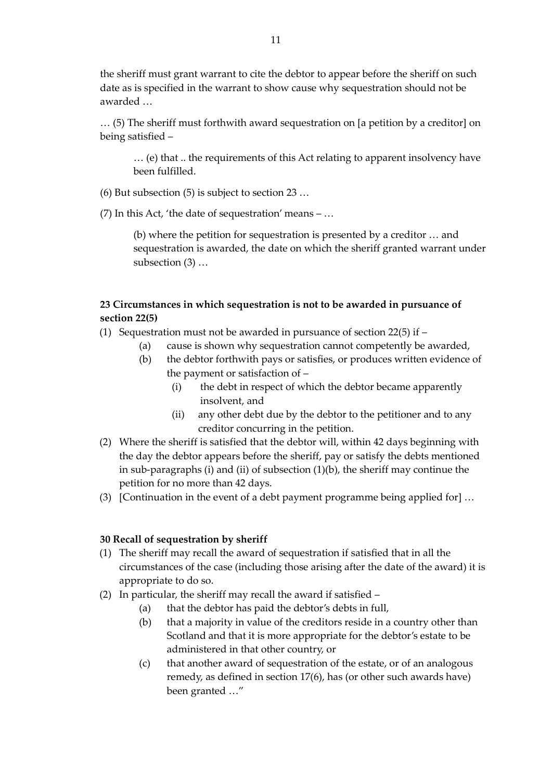the sheriff must grant warrant to cite the debtor to appear before the sheriff on such date as is specified in the warrant to show cause why sequestration should not be awarded …

… (5) The sheriff must forthwith award sequestration on [a petition by a creditor] on being satisfied –

… (e) that .. the requirements of this Act relating to apparent insolvency have been fulfilled.

(6) But subsection (5) is subject to section 23 …

(7) In this Act, 'the date of sequestration' means – ...

(b) where the petition for sequestration is presented by a creditor … and sequestration is awarded, the date on which the sheriff granted warrant under subsection (3) …

# **23 Circumstances in which sequestration is not to be awarded in pursuance of section 22(5)**

(1) Sequestration must not be awarded in pursuance of section 22(5) if –

- (a) cause is shown why sequestration cannot competently be awarded,
- (b) the debtor forthwith pays or satisfies, or produces written evidence of the payment or satisfaction of –
	- (i) the debt in respect of which the debtor became apparently insolvent, and
	- (ii) any other debt due by the debtor to the petitioner and to any creditor concurring in the petition.
- (2) Where the sheriff is satisfied that the debtor will, within 42 days beginning with the day the debtor appears before the sheriff, pay or satisfy the debts mentioned in sub-paragraphs (i) and (ii) of subsection (1)(b), the sheriff may continue the petition for no more than 42 days.
- (3) [Continuation in the event of a debt payment programme being applied for] …

#### **30 Recall of sequestration by sheriff**

- (1) The sheriff may recall the award of sequestration if satisfied that in all the circumstances of the case (including those arising after the date of the award) it is appropriate to do so.
- (2) In particular, the sheriff may recall the award if satisfied
	- (a) that the debtor has paid the debtor's debts in full,
	- (b) that a majority in value of the creditors reside in a country other than Scotland and that it is more appropriate for the debtor's estate to be administered in that other country, or
	- (c) that another award of sequestration of the estate, or of an analogous remedy, as defined in section 17(6), has (or other such awards have) been granted …"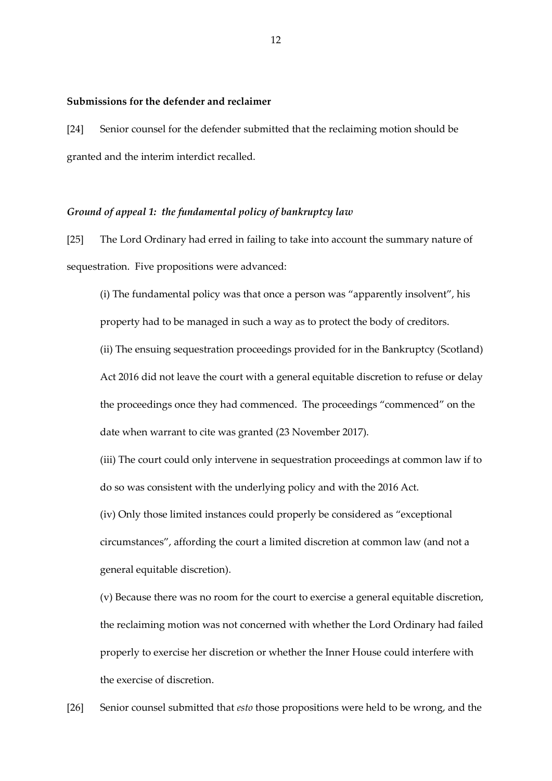#### **Submissions for the defender and reclaimer**

[24] Senior counsel for the defender submitted that the reclaiming motion should be granted and the interim interdict recalled.

#### *Ground of appeal 1: the fundamental policy of bankruptcy law*

[25] The Lord Ordinary had erred in failing to take into account the summary nature of sequestration. Five propositions were advanced:

(i) The fundamental policy was that once a person was "apparently insolvent", his property had to be managed in such a way as to protect the body of creditors. (ii) The ensuing sequestration proceedings provided for in the Bankruptcy (Scotland) Act 2016 did not leave the court with a general equitable discretion to refuse or delay the proceedings once they had commenced. The proceedings "commenced" on the

date when warrant to cite was granted (23 November 2017).

(iii) The court could only intervene in sequestration proceedings at common law if to do so was consistent with the underlying policy and with the 2016 Act.

(iv) Only those limited instances could properly be considered as "exceptional circumstances", affording the court a limited discretion at common law (and not a general equitable discretion).

(v) Because there was no room for the court to exercise a general equitable discretion, the reclaiming motion was not concerned with whether the Lord Ordinary had failed properly to exercise her discretion or whether the Inner House could interfere with the exercise of discretion.

[26] Senior counsel submitted that *esto* those propositions were held to be wrong, and the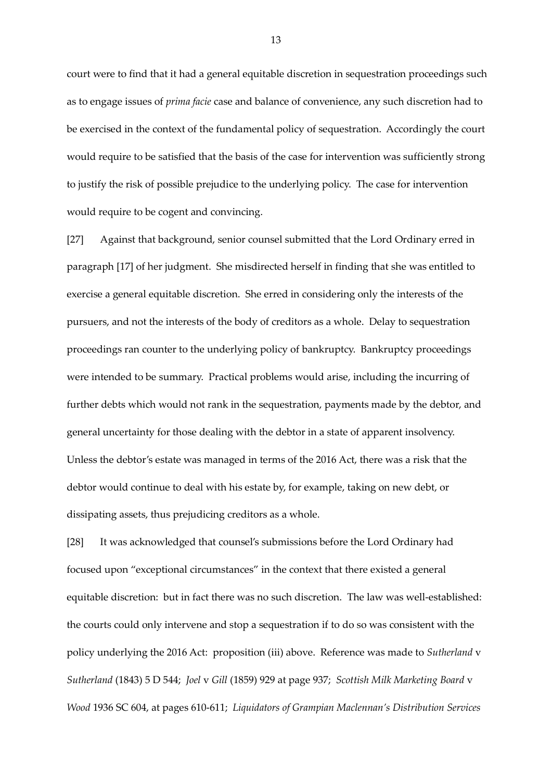court were to find that it had a general equitable discretion in sequestration proceedings such as to engage issues of *prima facie* case and balance of convenience, any such discretion had to be exercised in the context of the fundamental policy of sequestration. Accordingly the court would require to be satisfied that the basis of the case for intervention was sufficiently strong to justify the risk of possible prejudice to the underlying policy. The case for intervention would require to be cogent and convincing.

[27] Against that background, senior counsel submitted that the Lord Ordinary erred in paragraph [17] of her judgment. She misdirected herself in finding that she was entitled to exercise a general equitable discretion. She erred in considering only the interests of the pursuers, and not the interests of the body of creditors as a whole. Delay to sequestration proceedings ran counter to the underlying policy of bankruptcy. Bankruptcy proceedings were intended to be summary. Practical problems would arise, including the incurring of further debts which would not rank in the sequestration, payments made by the debtor, and general uncertainty for those dealing with the debtor in a state of apparent insolvency. Unless the debtor's estate was managed in terms of the 2016 Act, there was a risk that the debtor would continue to deal with his estate by, for example, taking on new debt, or dissipating assets, thus prejudicing creditors as a whole.

[28] It was acknowledged that counsel's submissions before the Lord Ordinary had focused upon "exceptional circumstances" in the context that there existed a general equitable discretion: but in fact there was no such discretion. The law was well-established: the courts could only intervene and stop a sequestration if to do so was consistent with the policy underlying the 2016 Act: proposition (iii) above. Reference was made to *Sutherland* v *Sutherland* (1843) 5 D 544; *Joel* v *Gill* (1859) 929 at page 937; *Scottish Milk Marketing Board* v *Wood* 1936 SC 604, at pages 610-611; *Liquidators of Grampian Maclennan's Distribution Services*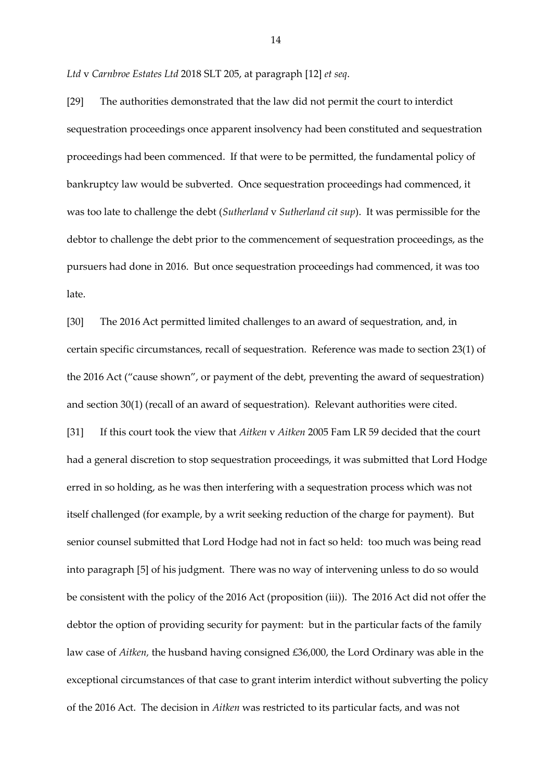*Ltd* v *Carnbroe Estates Ltd* 2018 SLT 205, at paragraph [12] *et seq*.

[29] The authorities demonstrated that the law did not permit the court to interdict sequestration proceedings once apparent insolvency had been constituted and sequestration proceedings had been commenced. If that were to be permitted, the fundamental policy of bankruptcy law would be subverted. Once sequestration proceedings had commenced, it was too late to challenge the debt (*Sutherland* v *Sutherland cit sup*). It was permissible for the debtor to challenge the debt prior to the commencement of sequestration proceedings, as the pursuers had done in 2016. But once sequestration proceedings had commenced, it was too late.

[30] The 2016 Act permitted limited challenges to an award of sequestration, and, in certain specific circumstances, recall of sequestration. Reference was made to section 23(1) of the 2016 Act ("cause shown", or payment of the debt, preventing the award of sequestration) and section 30(1) (recall of an award of sequestration). Relevant authorities were cited. [31] If this court took the view that *Aitken* v *Aitken* 2005 Fam LR 59 decided that the court had a general discretion to stop sequestration proceedings, it was submitted that Lord Hodge erred in so holding, as he was then interfering with a sequestration process which was not itself challenged (for example, by a writ seeking reduction of the charge for payment). But senior counsel submitted that Lord Hodge had not in fact so held: too much was being read into paragraph [5] of his judgment. There was no way of intervening unless to do so would be consistent with the policy of the 2016 Act (proposition (iii)). The 2016 Act did not offer the debtor the option of providing security for payment: but in the particular facts of the family law case of *Aitken,* the husband having consigned £36,000, the Lord Ordinary was able in the exceptional circumstances of that case to grant interim interdict without subverting the policy of the 2016 Act. The decision in *Aitken* was restricted to its particular facts, and was not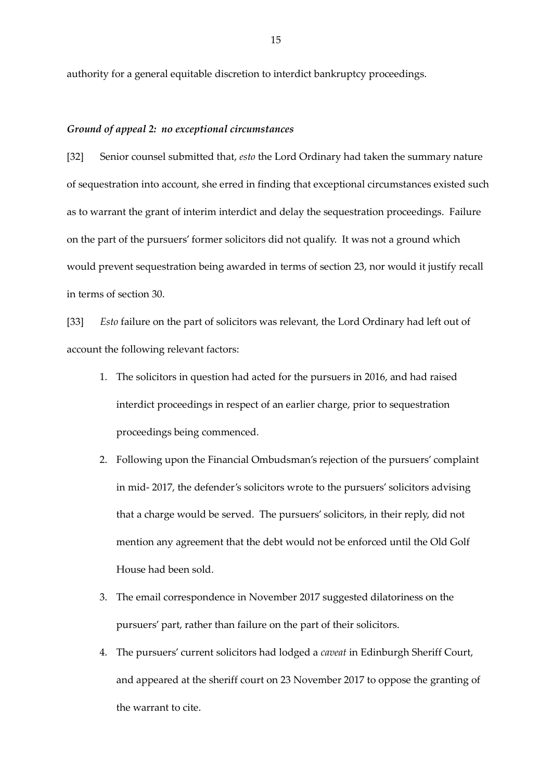authority for a general equitable discretion to interdict bankruptcy proceedings.

## *Ground of appeal 2: no exceptional circumstances*

[32] Senior counsel submitted that, *esto* the Lord Ordinary had taken the summary nature of sequestration into account, she erred in finding that exceptional circumstances existed such as to warrant the grant of interim interdict and delay the sequestration proceedings. Failure on the part of the pursuers' former solicitors did not qualify. It was not a ground which would prevent sequestration being awarded in terms of section 23, nor would it justify recall in terms of section 30.

[33] *Esto* failure on the part of solicitors was relevant, the Lord Ordinary had left out of account the following relevant factors:

- 1. The solicitors in question had acted for the pursuers in 2016, and had raised interdict proceedings in respect of an earlier charge, prior to sequestration proceedings being commenced.
- 2. Following upon the Financial Ombudsman's rejection of the pursuers' complaint in mid- 2017, the defender's solicitors wrote to the pursuers' solicitors advising that a charge would be served. The pursuers' solicitors, in their reply, did not mention any agreement that the debt would not be enforced until the Old Golf House had been sold.
- 3. The email correspondence in November 2017 suggested dilatoriness on the pursuers' part, rather than failure on the part of their solicitors.
- 4. The pursuers' current solicitors had lodged a *caveat* in Edinburgh Sheriff Court, and appeared at the sheriff court on 23 November 2017 to oppose the granting of the warrant to cite.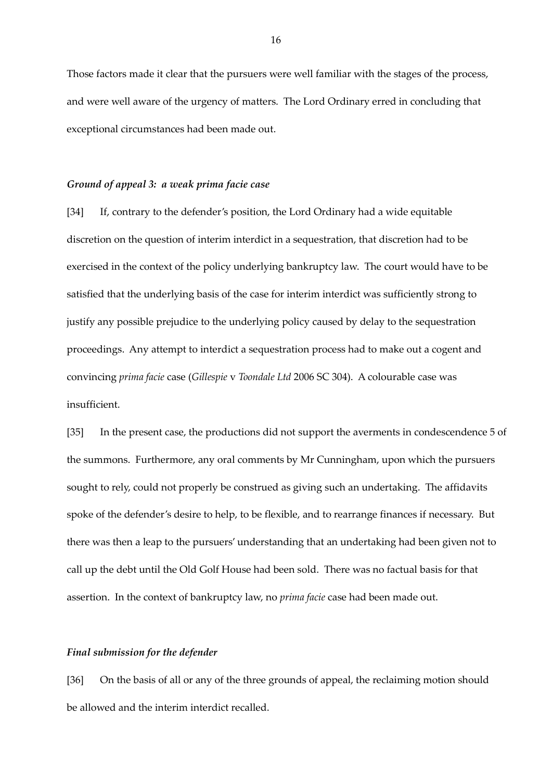Those factors made it clear that the pursuers were well familiar with the stages of the process, and were well aware of the urgency of matters. The Lord Ordinary erred in concluding that exceptional circumstances had been made out.

#### *Ground of appeal 3: a weak prima facie case*

[34] If, contrary to the defender's position, the Lord Ordinary had a wide equitable discretion on the question of interim interdict in a sequestration, that discretion had to be exercised in the context of the policy underlying bankruptcy law. The court would have to be satisfied that the underlying basis of the case for interim interdict was sufficiently strong to justify any possible prejudice to the underlying policy caused by delay to the sequestration proceedings. Any attempt to interdict a sequestration process had to make out a cogent and convincing *prima facie* case (*Gillespie* v *Toondale Ltd* 2006 SC 304). A colourable case was insufficient.

[35] In the present case, the productions did not support the averments in condescendence 5 of the summons. Furthermore, any oral comments by Mr Cunningham, upon which the pursuers sought to rely, could not properly be construed as giving such an undertaking. The affidavits spoke of the defender's desire to help, to be flexible, and to rearrange finances if necessary. But there was then a leap to the pursuers' understanding that an undertaking had been given not to call up the debt until the Old Golf House had been sold. There was no factual basis for that assertion. In the context of bankruptcy law, no *prima facie* case had been made out.

#### *Final submission for the defender*

[36] On the basis of all or any of the three grounds of appeal, the reclaiming motion should be allowed and the interim interdict recalled.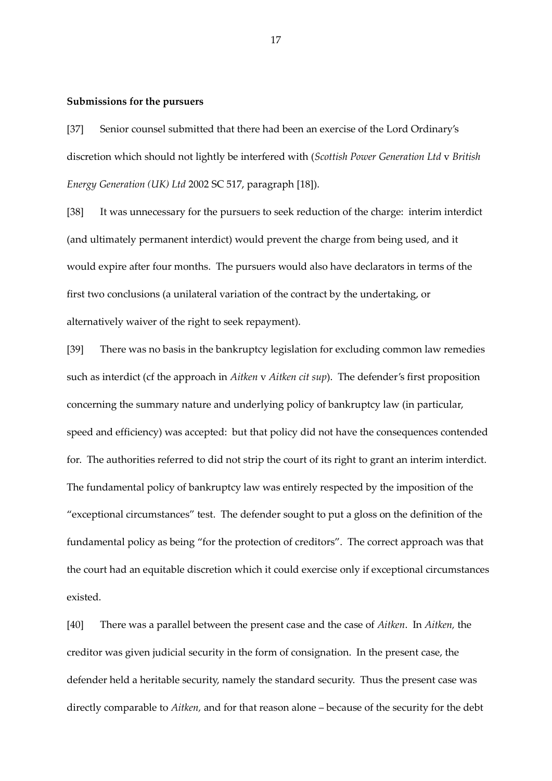#### **Submissions for the pursuers**

[37] Senior counsel submitted that there had been an exercise of the Lord Ordinary's discretion which should not lightly be interfered with (*Scottish Power Generation Ltd* v *British Energy Generation (UK) Ltd* 2002 SC 517, paragraph [18]).

[38] It was unnecessary for the pursuers to seek reduction of the charge: interim interdict (and ultimately permanent interdict) would prevent the charge from being used, and it would expire after four months. The pursuers would also have declarators in terms of the first two conclusions (a unilateral variation of the contract by the undertaking, or alternatively waiver of the right to seek repayment).

[39] There was no basis in the bankruptcy legislation for excluding common law remedies such as interdict (cf the approach in *Aitken* v *Aitken cit sup*). The defender's first proposition concerning the summary nature and underlying policy of bankruptcy law (in particular, speed and efficiency) was accepted: but that policy did not have the consequences contended for. The authorities referred to did not strip the court of its right to grant an interim interdict. The fundamental policy of bankruptcy law was entirely respected by the imposition of the "exceptional circumstances" test. The defender sought to put a gloss on the definition of the fundamental policy as being "for the protection of creditors". The correct approach was that the court had an equitable discretion which it could exercise only if exceptional circumstances existed.

[40] There was a parallel between the present case and the case of *Aitken*. In *Aitken,* the creditor was given judicial security in the form of consignation. In the present case, the defender held a heritable security, namely the standard security. Thus the present case was directly comparable to *Aitken,* and for that reason alone – because of the security for the debt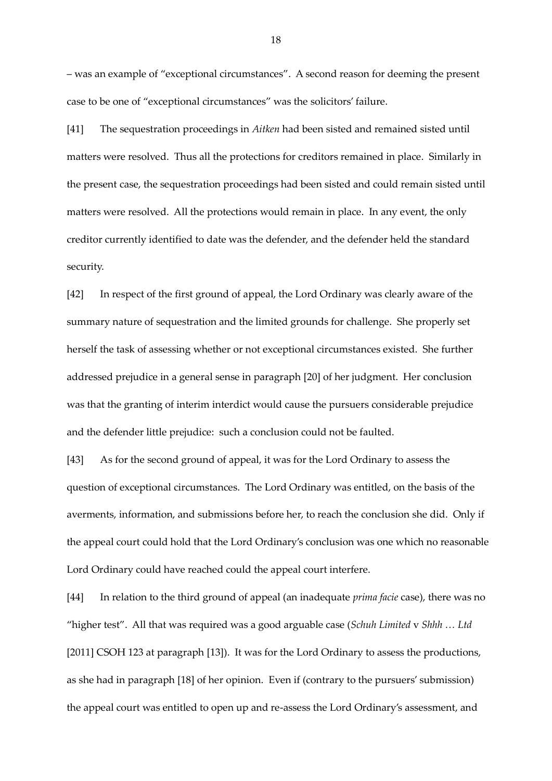– was an example of "exceptional circumstances". A second reason for deeming the present case to be one of "exceptional circumstances" was the solicitors' failure.

[41] The sequestration proceedings in *Aitken* had been sisted and remained sisted until matters were resolved. Thus all the protections for creditors remained in place. Similarly in the present case, the sequestration proceedings had been sisted and could remain sisted until matters were resolved. All the protections would remain in place. In any event, the only creditor currently identified to date was the defender, and the defender held the standard security.

[42] In respect of the first ground of appeal, the Lord Ordinary was clearly aware of the summary nature of sequestration and the limited grounds for challenge. She properly set herself the task of assessing whether or not exceptional circumstances existed. She further addressed prejudice in a general sense in paragraph [20] of her judgment. Her conclusion was that the granting of interim interdict would cause the pursuers considerable prejudice and the defender little prejudice: such a conclusion could not be faulted.

[43] As for the second ground of appeal, it was for the Lord Ordinary to assess the question of exceptional circumstances. The Lord Ordinary was entitled, on the basis of the averments, information, and submissions before her, to reach the conclusion she did. Only if the appeal court could hold that the Lord Ordinary's conclusion was one which no reasonable Lord Ordinary could have reached could the appeal court interfere.

[44] In relation to the third ground of appeal (an inadequate *prima facie* case), there was no "higher test". All that was required was a good arguable case (*Schuh Limited* v *Shhh … Ltd*  [2011] CSOH 123 at paragraph [13]). It was for the Lord Ordinary to assess the productions, as she had in paragraph [18] of her opinion. Even if (contrary to the pursuers' submission) the appeal court was entitled to open up and re-assess the Lord Ordinary's assessment, and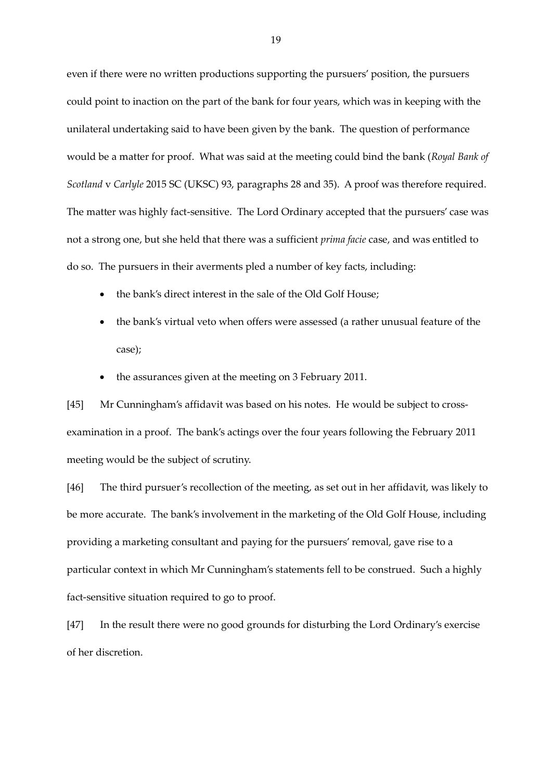even if there were no written productions supporting the pursuers' position, the pursuers could point to inaction on the part of the bank for four years, which was in keeping with the unilateral undertaking said to have been given by the bank. The question of performance would be a matter for proof. What was said at the meeting could bind the bank (*Royal Bank of Scotland* v *Carlyle* 2015 SC (UKSC) 93, paragraphs 28 and 35). A proof was therefore required. The matter was highly fact-sensitive. The Lord Ordinary accepted that the pursuers' case was not a strong one, but she held that there was a sufficient *prima facie* case, and was entitled to do so. The pursuers in their averments pled a number of key facts, including:

- the bank's direct interest in the sale of the Old Golf House;
- the bank's virtual veto when offers were assessed (a rather unusual feature of the case);
- the assurances given at the meeting on 3 February 2011.

[45] Mr Cunningham's affidavit was based on his notes. He would be subject to crossexamination in a proof. The bank's actings over the four years following the February 2011 meeting would be the subject of scrutiny.

[46] The third pursuer's recollection of the meeting, as set out in her affidavit, was likely to be more accurate. The bank's involvement in the marketing of the Old Golf House, including providing a marketing consultant and paying for the pursuers' removal, gave rise to a particular context in which Mr Cunningham's statements fell to be construed. Such a highly fact-sensitive situation required to go to proof.

[47] In the result there were no good grounds for disturbing the Lord Ordinary's exercise of her discretion.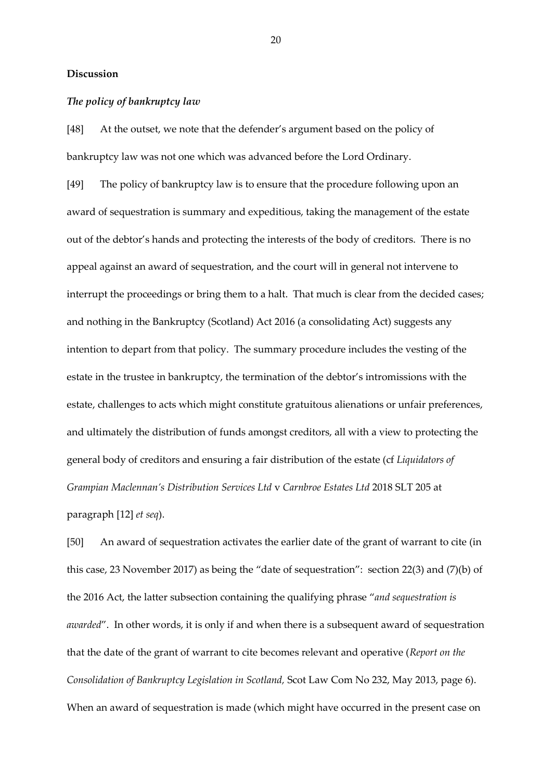### **Discussion**

## *The policy of bankruptcy law*

[48] At the outset, we note that the defender's argument based on the policy of bankruptcy law was not one which was advanced before the Lord Ordinary.

[49] The policy of bankruptcy law is to ensure that the procedure following upon an award of sequestration is summary and expeditious, taking the management of the estate out of the debtor's hands and protecting the interests of the body of creditors. There is no appeal against an award of sequestration, and the court will in general not intervene to interrupt the proceedings or bring them to a halt. That much is clear from the decided cases; and nothing in the Bankruptcy (Scotland) Act 2016 (a consolidating Act) suggests any intention to depart from that policy. The summary procedure includes the vesting of the estate in the trustee in bankruptcy, the termination of the debtor's intromissions with the estate, challenges to acts which might constitute gratuitous alienations or unfair preferences, and ultimately the distribution of funds amongst creditors, all with a view to protecting the general body of creditors and ensuring a fair distribution of the estate (cf *Liquidators of Grampian Maclennan's Distribution Services Ltd* v *Carnbroe Estates Ltd* 2018 SLT 205 at paragraph [12] *et seq*).

[50] An award of sequestration activates the earlier date of the grant of warrant to cite (in this case, 23 November 2017) as being the "date of sequestration": section 22(3) and (7)(b) of the 2016 Act, the latter subsection containing the qualifying phrase "*and sequestration is awarded*". In other words, it is only if and when there is a subsequent award of sequestration that the date of the grant of warrant to cite becomes relevant and operative (*Report on the Consolidation of Bankruptcy Legislation in Scotland,* Scot Law Com No 232, May 2013, page 6). When an award of sequestration is made (which might have occurred in the present case on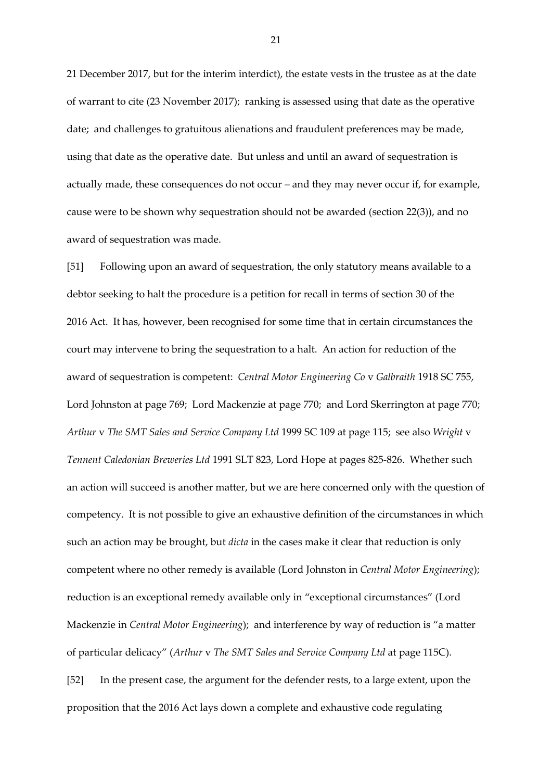21 December 2017, but for the interim interdict), the estate vests in the trustee as at the date of warrant to cite (23 November 2017); ranking is assessed using that date as the operative date; and challenges to gratuitous alienations and fraudulent preferences may be made, using that date as the operative date. But unless and until an award of sequestration is actually made, these consequences do not occur – and they may never occur if, for example, cause were to be shown why sequestration should not be awarded (section 22(3)), and no award of sequestration was made.

[51] Following upon an award of sequestration, the only statutory means available to a debtor seeking to halt the procedure is a petition for recall in terms of section 30 of the 2016 Act. It has, however, been recognised for some time that in certain circumstances the court may intervene to bring the sequestration to a halt. An action for reduction of the award of sequestration is competent: *Central Motor Engineering Co* v *Galbraith* 1918 SC 755, Lord Johnston at page 769; Lord Mackenzie at page 770; and Lord Skerrington at page 770; *Arthur* v *The SMT Sales and Service Company Ltd* 1999 SC 109 at page 115; see also *Wright* v *Tennent Caledonian Breweries Ltd* 1991 SLT 823, Lord Hope at pages 825-826. Whether such an action will succeed is another matter, but we are here concerned only with the question of competency. It is not possible to give an exhaustive definition of the circumstances in which such an action may be brought, but *dicta* in the cases make it clear that reduction is only competent where no other remedy is available (Lord Johnston in *Central Motor Engineering*); reduction is an exceptional remedy available only in "exceptional circumstances" (Lord Mackenzie in *Central Motor Engineering*); and interference by way of reduction is "a matter of particular delicacy" (*Arthur* v *The SMT Sales and Service Company Ltd* at page 115C). [52] In the present case, the argument for the defender rests, to a large extent, upon the proposition that the 2016 Act lays down a complete and exhaustive code regulating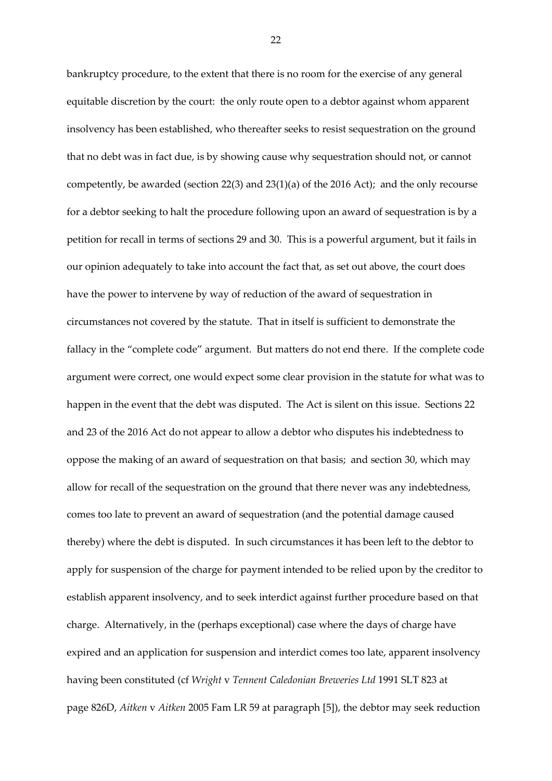bankruptcy procedure, to the extent that there is no room for the exercise of any general equitable discretion by the court: the only route open to a debtor against whom apparent insolvency has been established, who thereafter seeks to resist sequestration on the ground that no debt was in fact due, is by showing cause why sequestration should not, or cannot competently, be awarded (section  $22(3)$  and  $23(1)(a)$  of the 2016 Act); and the only recourse for a debtor seeking to halt the procedure following upon an award of sequestration is by a petition for recall in terms of sections 29 and 30. This is a powerful argument, but it fails in our opinion adequately to take into account the fact that, as set out above, the court does have the power to intervene by way of reduction of the award of sequestration in circumstances not covered by the statute. That in itself is sufficient to demonstrate the fallacy in the "complete code" argument. But matters do not end there. If the complete code argument were correct, one would expect some clear provision in the statute for what was to happen in the event that the debt was disputed. The Act is silent on this issue. Sections 22 and 23 of the 2016 Act do not appear to allow a debtor who disputes his indebtedness to oppose the making of an award of sequestration on that basis; and section 30, which may allow for recall of the sequestration on the ground that there never was any indebtedness, comes too late to prevent an award of sequestration (and the potential damage caused thereby) where the debt is disputed. In such circumstances it has been left to the debtor to apply for suspension of the charge for payment intended to be relied upon by the creditor to establish apparent insolvency, and to seek interdict against further procedure based on that charge. Alternatively, in the (perhaps exceptional) case where the days of charge have expired and an application for suspension and interdict comes too late, apparent insolvency having been constituted (cf *Wright* v *Tennent Caledonian Breweries Ltd* 1991 SLT 823 at page 826D, *Aitken* v *Aitken* 2005 Fam LR 59 at paragraph [5]), the debtor may seek reduction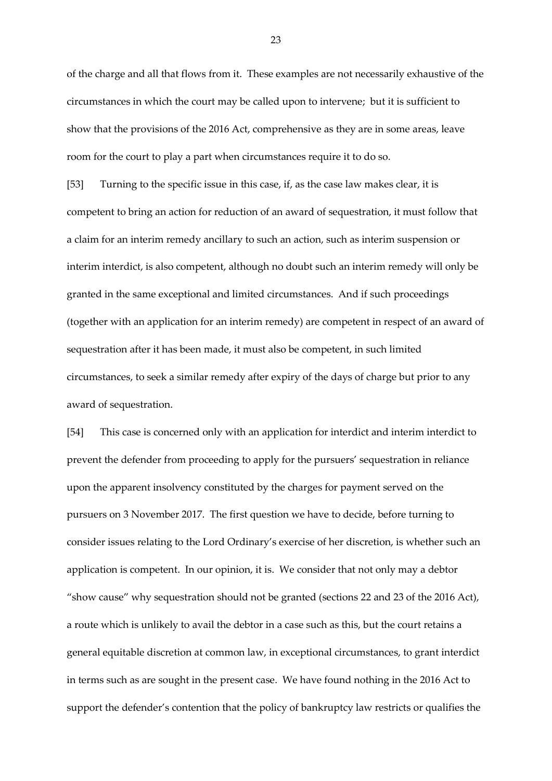of the charge and all that flows from it. These examples are not necessarily exhaustive of the circumstances in which the court may be called upon to intervene; but it is sufficient to show that the provisions of the 2016 Act, comprehensive as they are in some areas, leave room for the court to play a part when circumstances require it to do so.

[53] Turning to the specific issue in this case, if, as the case law makes clear, it is competent to bring an action for reduction of an award of sequestration, it must follow that a claim for an interim remedy ancillary to such an action, such as interim suspension or interim interdict, is also competent, although no doubt such an interim remedy will only be granted in the same exceptional and limited circumstances. And if such proceedings (together with an application for an interim remedy) are competent in respect of an award of sequestration after it has been made, it must also be competent, in such limited circumstances, to seek a similar remedy after expiry of the days of charge but prior to any award of sequestration.

[54] This case is concerned only with an application for interdict and interim interdict to prevent the defender from proceeding to apply for the pursuers' sequestration in reliance upon the apparent insolvency constituted by the charges for payment served on the pursuers on 3 November 2017. The first question we have to decide, before turning to consider issues relating to the Lord Ordinary's exercise of her discretion, is whether such an application is competent. In our opinion, it is. We consider that not only may a debtor "show cause" why sequestration should not be granted (sections 22 and 23 of the 2016 Act), a route which is unlikely to avail the debtor in a case such as this, but the court retains a general equitable discretion at common law, in exceptional circumstances, to grant interdict in terms such as are sought in the present case. We have found nothing in the 2016 Act to support the defender's contention that the policy of bankruptcy law restricts or qualifies the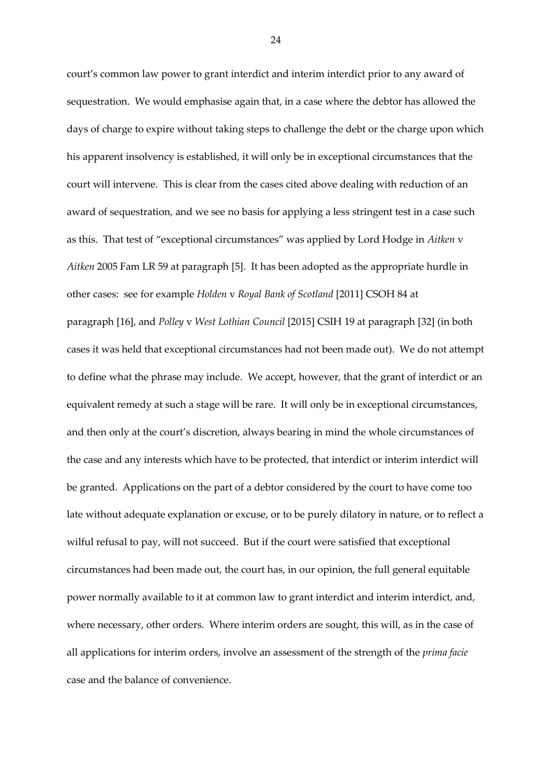court's common law power to grant interdict and interim interdict prior to any award of sequestration. We would emphasise again that, in a case where the debtor has allowed the days of charge to expire without taking steps to challenge the debt or the charge upon which his apparent insolvency is established, it will only be in exceptional circumstances that the court will intervene. This is clear from the cases cited above dealing with reduction of an award of sequestration, and we see no basis for applying a less stringent test in a case such as this. That test of "exceptional circumstances" was applied by Lord Hodge in *Aitken* v *Aitken* 2005 Fam LR 59 at paragraph [5]. It has been adopted as the appropriate hurdle in other cases: see for example *Holden* v *Royal Bank of Scotland* [2011] CSOH 84 at paragraph [16], and *Polley* v *West Lothian Council* [2015] CSIH 19 at paragraph [32] (in both cases it was held that exceptional circumstances had not been made out). We do not attempt to define what the phrase may include. We accept, however, that the grant of interdict or an equivalent remedy at such a stage will be rare. It will only be in exceptional circumstances, and then only at the court's discretion, always bearing in mind the whole circumstances of the case and any interests which have to be protected, that interdict or interim interdict will be granted. Applications on the part of a debtor considered by the court to have come too late without adequate explanation or excuse, or to be purely dilatory in nature, or to reflect a wilful refusal to pay, will not succeed. But if the court were satisfied that exceptional circumstances had been made out, the court has, in our opinion, the full general equitable power normally available to it at common law to grant interdict and interim interdict, and, where necessary, other orders. Where interim orders are sought, this will, as in the case of all applications for interim orders, involve an assessment of the strength of the *prima facie*  case and the balance of convenience.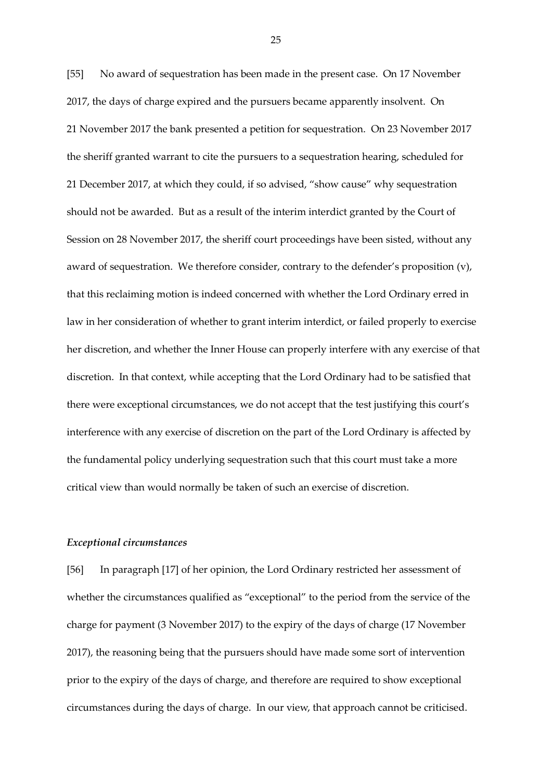[55] No award of sequestration has been made in the present case. On 17 November 2017, the days of charge expired and the pursuers became apparently insolvent. On 21 November 2017 the bank presented a petition for sequestration. On 23 November 2017 the sheriff granted warrant to cite the pursuers to a sequestration hearing, scheduled for 21 December 2017, at which they could, if so advised, "show cause" why sequestration should not be awarded. But as a result of the interim interdict granted by the Court of Session on 28 November 2017, the sheriff court proceedings have been sisted, without any award of sequestration. We therefore consider, contrary to the defender's proposition (v), that this reclaiming motion is indeed concerned with whether the Lord Ordinary erred in law in her consideration of whether to grant interim interdict, or failed properly to exercise her discretion, and whether the Inner House can properly interfere with any exercise of that discretion. In that context, while accepting that the Lord Ordinary had to be satisfied that there were exceptional circumstances, we do not accept that the test justifying this court's interference with any exercise of discretion on the part of the Lord Ordinary is affected by the fundamental policy underlying sequestration such that this court must take a more critical view than would normally be taken of such an exercise of discretion.

## *Exceptional circumstances*

[56] In paragraph [17] of her opinion, the Lord Ordinary restricted her assessment of whether the circumstances qualified as "exceptional" to the period from the service of the charge for payment (3 November 2017) to the expiry of the days of charge (17 November 2017), the reasoning being that the pursuers should have made some sort of intervention prior to the expiry of the days of charge, and therefore are required to show exceptional circumstances during the days of charge. In our view, that approach cannot be criticised.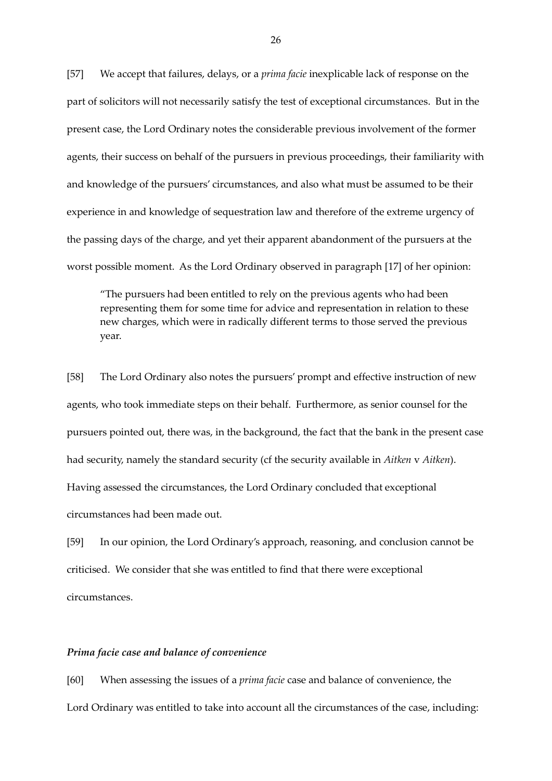[57] We accept that failures, delays, or a *prima facie* inexplicable lack of response on the part of solicitors will not necessarily satisfy the test of exceptional circumstances. But in the present case, the Lord Ordinary notes the considerable previous involvement of the former agents, their success on behalf of the pursuers in previous proceedings, their familiarity with and knowledge of the pursuers' circumstances, and also what must be assumed to be their experience in and knowledge of sequestration law and therefore of the extreme urgency of the passing days of the charge, and yet their apparent abandonment of the pursuers at the worst possible moment. As the Lord Ordinary observed in paragraph [17] of her opinion:

"The pursuers had been entitled to rely on the previous agents who had been representing them for some time for advice and representation in relation to these new charges, which were in radically different terms to those served the previous year.

[58] The Lord Ordinary also notes the pursuers' prompt and effective instruction of new agents, who took immediate steps on their behalf. Furthermore, as senior counsel for the pursuers pointed out, there was, in the background, the fact that the bank in the present case had security, namely the standard security (cf the security available in *Aitken* v *Aitken*). Having assessed the circumstances, the Lord Ordinary concluded that exceptional circumstances had been made out.

[59] In our opinion, the Lord Ordinary's approach, reasoning, and conclusion cannot be criticised. We consider that she was entitled to find that there were exceptional circumstances.

#### *Prima facie case and balance of convenience*

[60] When assessing the issues of a *prima facie* case and balance of convenience, the Lord Ordinary was entitled to take into account all the circumstances of the case, including: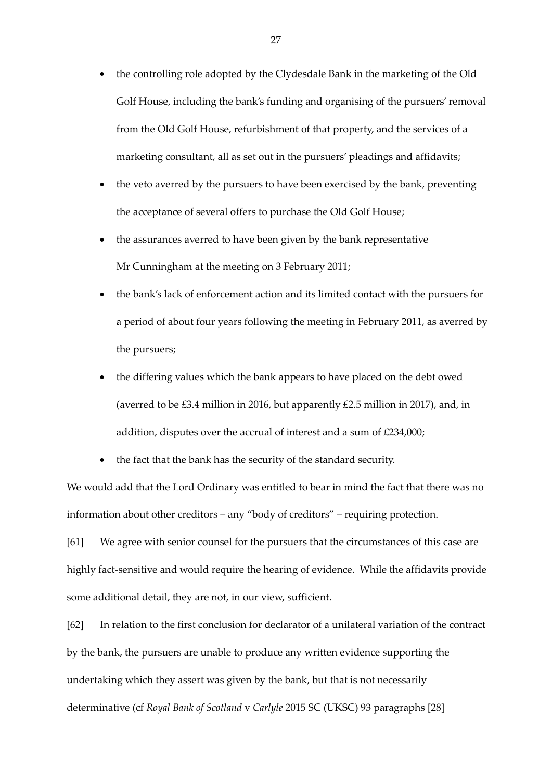- the controlling role adopted by the Clydesdale Bank in the marketing of the Old Golf House, including the bank's funding and organising of the pursuers' removal from the Old Golf House, refurbishment of that property, and the services of a marketing consultant, all as set out in the pursuers' pleadings and affidavits;
- the veto averred by the pursuers to have been exercised by the bank, preventing the acceptance of several offers to purchase the Old Golf House;
- the assurances averred to have been given by the bank representative Mr Cunningham at the meeting on 3 February 2011;
- the bank's lack of enforcement action and its limited contact with the pursuers for a period of about four years following the meeting in February 2011, as averred by the pursuers;
- the differing values which the bank appears to have placed on the debt owed (averred to be £3.4 million in 2016, but apparently £2.5 million in 2017), and, in addition, disputes over the accrual of interest and a sum of £234,000;
- the fact that the bank has the security of the standard security.

We would add that the Lord Ordinary was entitled to bear in mind the fact that there was no information about other creditors – any "body of creditors" – requiring protection.

[61] We agree with senior counsel for the pursuers that the circumstances of this case are highly fact-sensitive and would require the hearing of evidence. While the affidavits provide some additional detail, they are not, in our view, sufficient.

[62] In relation to the first conclusion for declarator of a unilateral variation of the contract by the bank, the pursuers are unable to produce any written evidence supporting the undertaking which they assert was given by the bank, but that is not necessarily determinative (cf *Royal Bank of Scotland* v *Carlyle* 2015 SC (UKSC) 93 paragraphs [28]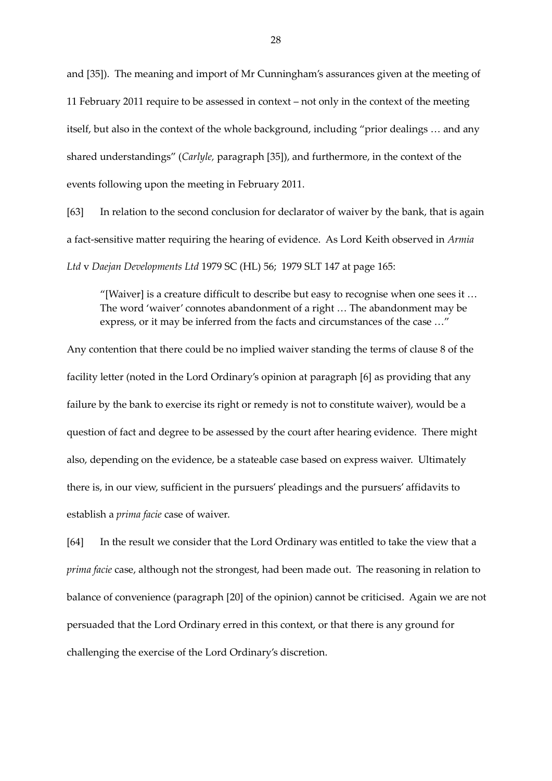and [35]). The meaning and import of Mr Cunningham's assurances given at the meeting of 11 February 2011 require to be assessed in context – not only in the context of the meeting itself, but also in the context of the whole background, including "prior dealings … and any shared understandings" (*Carlyle,* paragraph [35]), and furthermore, in the context of the events following upon the meeting in February 2011.

[63] In relation to the second conclusion for declarator of waiver by the bank, that is again a fact-sensitive matter requiring the hearing of evidence. As Lord Keith observed in *Armia Ltd* v *Daejan Developments Ltd* 1979 SC (HL) 56; 1979 SLT 147 at page 165:

"[Waiver] is a creature difficult to describe but easy to recognise when one sees it … The word 'waiver' connotes abandonment of a right … The abandonment may be express, or it may be inferred from the facts and circumstances of the case …"

Any contention that there could be no implied waiver standing the terms of clause 8 of the facility letter (noted in the Lord Ordinary's opinion at paragraph [6] as providing that any failure by the bank to exercise its right or remedy is not to constitute waiver), would be a question of fact and degree to be assessed by the court after hearing evidence. There might also, depending on the evidence, be a stateable case based on express waiver. Ultimately there is, in our view, sufficient in the pursuers' pleadings and the pursuers' affidavits to establish a *prima facie* case of waiver.

[64] In the result we consider that the Lord Ordinary was entitled to take the view that a *prima facie* case, although not the strongest, had been made out. The reasoning in relation to balance of convenience (paragraph [20] of the opinion) cannot be criticised. Again we are not persuaded that the Lord Ordinary erred in this context, or that there is any ground for challenging the exercise of the Lord Ordinary's discretion.